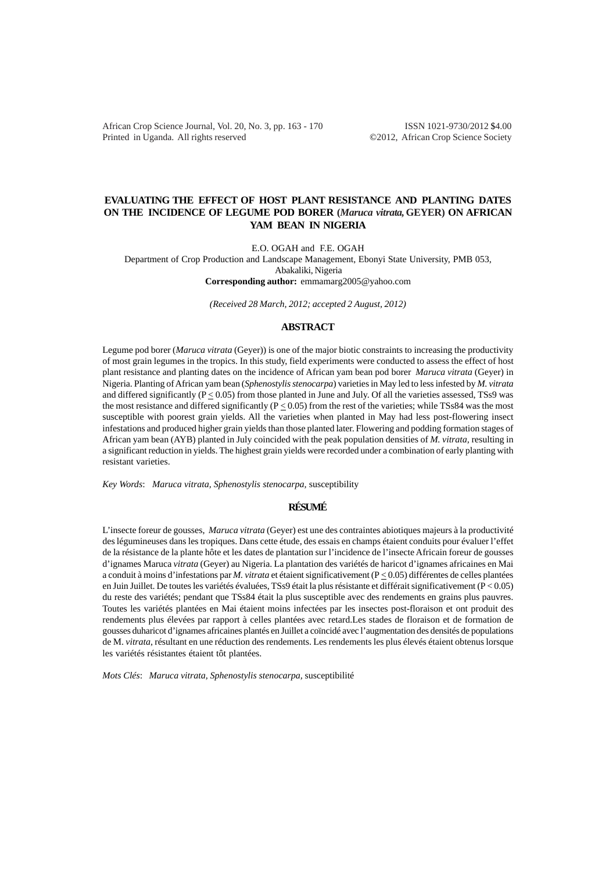African Crop Science Journal, Vol. 20, No. 3, pp. 163 - 170 ISSN 1021-9730/2012 \$4.00 Printed in Uganda. All rights reserved ©2012, African Crop Science Society

# **EVALUATING THE EFFECT OF HOST PLANT RESISTANCE AND PLANTING DATES ON THE INCIDENCE OF LEGUME POD BORER (***Maruca vitrata,* **GEYER) ON AFRICAN YAM BEAN IN NIGERIA**

E.O. OGAH and F.E. OGAH

Department of Crop Production and Landscape Management, Ebonyi State University, PMB 053, Abakaliki, Nigeria **Corresponding author:** emmamarg2005@yahoo.com

*(Received 28 March, 2012; accepted 2 August, 2012)*

# **ABSTRACT**

Legume pod borer (*Maruca vitrata* (Geyer)) is one of the major biotic constraints to increasing the productivity of most grain legumes in the tropics. In this study, field experiments were conducted to assess the effect of host plant resistance and planting dates on the incidence of African yam bean pod borer *Maruca vitrata* (Geyer) in Nigeria. Planting of African yam bean (*Sphenostylis stenocarpa*) varieties in May led to less infested by *M. vitrata* and differed significantly ( $P \le 0.05$ ) from those planted in June and July. Of all the varieties assessed, TSs9 was the most resistance and differed significantly ( $P \le 0.05$ ) from the rest of the varieties; while TSs84 was the most susceptible with poorest grain yields. All the varieties when planted in May had less post-flowering insect infestations and produced higher grain yields than those planted later. Flowering and podding formation stages of African yam bean (AYB) planted in July coincided with the peak population densities of *M. vitrata,* resulting in a significant reduction in yields. The highest grain yields were recorded under a combination of early planting with resistant varieties.

*Key Words*: *Maruca vitrata, Sphenostylis stenocarpa,* susceptibility

# **RÉSUMÉ**

L'insecte foreur de gousses, *Maruca vitrata* (Geyer) est une des contraintes abiotiques majeurs à la productivité des légumineuses dans les tropiques. Dans cette étude, des essais en champs étaient conduits pour évaluer l'effet de la résistance de la plante hôte et les dates de plantation sur l'incidence de l'insecte Africain foreur de gousses d'ignames Maruca *vitrata* (Geyer) au Nigeria. La plantation des variétés de haricot d'ignames africaines en Mai a conduit à moins d'infestations par *M. vitrata* et étaient significativement (P < 0.05) différentes de celles plantées en Juin Juillet. De toutes les variétés évaluées, TSs9 était la plus résistante et différait significativement (P < 0.05) du reste des variétés; pendant que TSs84 était la plus susceptible avec des rendements en grains plus pauvres. Toutes les variétés plantées en Mai étaient moins infectées par les insectes post-floraison et ont produit des rendements plus élevées par rapport à celles plantées avec retard.Les stades de floraison et de formation de gousses duharicot d'ignames africaines plantés en Juillet a coïncidé avec l'augmentation des densités de populations de M. *vitrata*, résultant en une réduction des rendements. Les rendements les plus élevés étaient obtenus lorsque les variétés résistantes étaient tôt plantées.

*Mots Clés*: *Maruca vitrata, Sphenostylis stenocarpa,* susceptibilité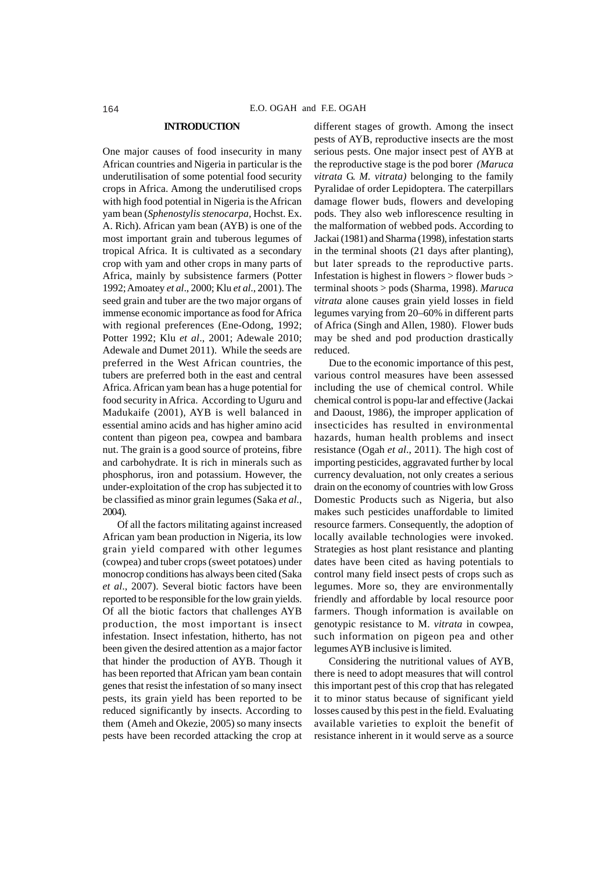### **INTRODUCTION**

One major causes of food insecurity in many African countries and Nigeria in particular is the underutilisation of some potential food security crops in Africa. Among the underutilised crops with high food potential in Nigeria is the African yam bean (*Sphenostylis stenocarpa,* Hochst. Ex. A. Rich). African yam bean (AYB) is one of the most important grain and tuberous legumes of tropical Africa. It is cultivated as a secondary crop with yam and other crops in many parts of Africa, mainly by subsistence farmers (Potter 1992; Amoatey *et al*., 2000; Klu *et al*., 2001). The seed grain and tuber are the two major organs of immense economic importance as food for Africa with regional preferences (Ene-Odong, 1992; Potter 1992; Klu *et al*., 2001; Adewale 2010; Adewale and Dumet 2011). While the seeds are preferred in the West African countries, the tubers are preferred both in the east and central Africa. African yam bean has a huge potential for food security in Africa. According to Uguru and Madukaife (2001), AYB is well balanced in essential amino acids and has higher amino acid content than pigeon pea, cowpea and bambara nut. The grain is a good source of proteins, fibre and carbohydrate. It is rich in minerals such as phosphorus, iron and potassium. However, the under-exploitation of the crop has subjected it to be classified as minor grain legumes (Saka *et al*., 2004).

Of all the factors militating against increased African yam bean production in Nigeria, its low grain yield compared with other legumes (cowpea) and tuber crops (sweet potatoes) under monocrop conditions has always been cited (Saka *et al*., 2007). Several biotic factors have been reported to be responsible for the low grain yields. Of all the biotic factors that challenges AYB production, the most important is insect infestation. Insect infestation, hitherto, has not been given the desired attention as a major factor that hinder the production of AYB. Though it has been reported that African yam bean contain genes that resist the infestation of so many insect pests, its grain yield has been reported to be reduced significantly by insects. According to them (Ameh and Okezie, 2005) so many insects pests have been recorded attacking the crop at

different stages of growth. Among the insect pests of AYB, reproductive insects are the most serious pests. One major insect pest of AYB at the reproductive stage is the pod borer *(Maruca vitrata* G. *M. vitrata)* belonging to the family Pyralidae of order Lepidoptera. The caterpillars damage flower buds, flowers and developing pods. They also web inflorescence resulting in the malformation of webbed pods. According to Jackai (1981) and Sharma (1998), infestation starts in the terminal shoots (21 days after planting), but later spreads to the reproductive parts. Infestation is highest in flowers > flower buds > terminal shoots > pods (Sharma, 1998). *Maruca vitrata* alone causes grain yield losses in field legumes varying from 20–60% in different parts of Africa (Singh and Allen, 1980). Flower buds may be shed and pod production drastically reduced.

Due to the economic importance of this pest, various control measures have been assessed including the use of chemical control. While chemical control is popu-lar and effective (Jackai and Daoust, 1986), the improper application of insecticides has resulted in environmental hazards, human health problems and insect resistance (Ogah *et al*., 2011). The high cost of importing pesticides, aggravated further by local currency devaluation, not only creates a serious drain on the economy of countries with low Gross Domestic Products such as Nigeria, but also makes such pesticides unaffordable to limited resource farmers. Consequently, the adoption of locally available technologies were invoked. Strategies as host plant resistance and planting dates have been cited as having potentials to control many field insect pests of crops such as legumes. More so, they are environmentally friendly and affordable by local resource poor farmers. Though information is available on genotypic resistance to M. *vitrata* in cowpea, such information on pigeon pea and other legumes AYB inclusive is limited.

Considering the nutritional values of AYB, there is need to adopt measures that will control this important pest of this crop that has relegated it to minor status because of significant yield losses caused by this pest in the field. Evaluating available varieties to exploit the benefit of resistance inherent in it would serve as a source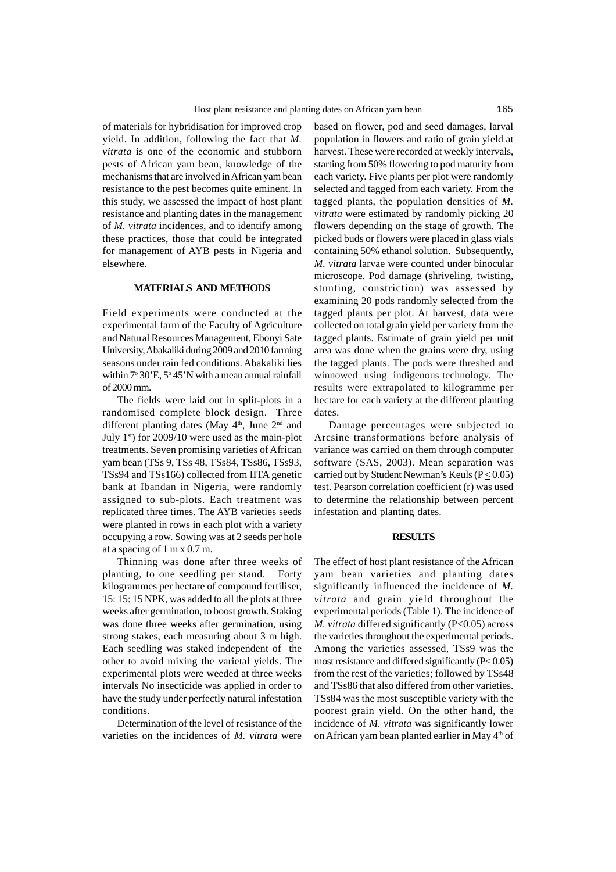of materials for hybridisation for improved crop yield. In addition, following the fact that *M. vitrata* is one of the economic and stubborn pests of African yam bean, knowledge of the mechanisms that are involved in African yam bean resistance to the pest becomes quite eminent. In this study, we assessed the impact of host plant resistance and planting dates in the management of *M. vitrata* incidences, and to identify among these practices, those that could be integrated for management of AYB pests in Nigeria and elsewhere.

# **MATERIALS AND METHODS**

Field experiments were conducted at the experimental farm of the Faculty of Agriculture and Natural Resources Management, Ebonyi Sate University, Abakaliki during 2009 and 2010 farming seasons under rain fed conditions. Abakaliki lies within  $7^{\circ}$  30'E,  $5^{\circ}$  45'N with a mean annual rainfall of 2000 mm.

The fields were laid out in split-plots in a randomised complete block design. Three different planting dates (May  $4<sup>th</sup>$ , June  $2<sup>nd</sup>$  and July  $1^{st}$ ) for 2009/10 were used as the main-plot treatments. Seven promising varieties of African yam bean (TSs 9, TSs 48, TSs84, TSs86, TSs93, TSs94 and TSs166) collected from IITA genetic bank at Ibandan in Nigeria, were randomly assigned to sub-plots. Each treatment was replicated three times. The AYB varieties seeds were planted in rows in each plot with a variety occupying a row. Sowing was at 2 seeds per hole at a spacing of 1 m x 0.7 m.

Thinning was done after three weeks of planting, to one seedling per stand. Forty kilogrammes per hectare of compound fertiliser, 15: 15: 15 NPK, was added to all the plots at three weeks after germination, to boost growth. Staking was done three weeks after germination, using strong stakes, each measuring about 3 m high. Each seedling was staked independent of the other to avoid mixing the varietal yields. The experimental plots were weeded at three weeks intervals No insecticide was applied in order to have the study under perfectly natural infestation conditions.

Determination of the level of resistance of the varieties on the incidences of *M. vitrata* were

based on flower, pod and seed damages, larval population in flowers and ratio of grain yield at harvest. These were recorded at weekly intervals, starting from 50% flowering to pod maturity from each variety. Five plants per plot were randomly selected and tagged from each variety. From the tagged plants, the population densities of *M. vitrata* were estimated by randomly picking 20 flowers depending on the stage of growth. The picked buds or flowers were placed in glass vials containing 50% ethanol solution. Subsequently, *M. vitrata* larvae were counted under binocular microscope. Pod damage (shriveling, twisting, stunting, constriction) was assessed by examining 20 pods randomly selected from the tagged plants per plot. At harvest, data were collected on total grain yield per variety from the tagged plants. Estimate of grain yield per unit area was done when the grains were dry, using the tagged plants. The pods were threshed and winnowed using indigenous technology. The results were extrapolated to kilogramme per hectare for each variety at the different planting dates.

Damage percentages were subjected to Arcsine transformations before analysis of variance was carried on them through computer software (SAS, 2003). Mean separation was carried out by Student Newman's Keuls ( $P \le 0.05$ ) test. Pearson correlation coefficient (r) was used to determine the relationship between percent infestation and planting dates.

### **RESULTS**

The effect of host plant resistance of the African yam bean varieties and planting dates significantly influenced the incidence of *M. vitrata* and grain yield throughout the experimental periods (Table 1). The incidence of *M. vitrata* differed significantly (P<0.05) across the varieties throughout the experimental periods. Among the varieties assessed, TSs9 was the most resistance and differed significantly ( $P \leq 0.05$ ) from the rest of the varieties; followed by TSs48 and TSs86 that also differed from other varieties. TSs84 was the most susceptible variety with the poorest grain yield. On the other hand, the incidence of *M. vitrata* was significantly lower on African yam bean planted earlier in May 4<sup>th</sup> of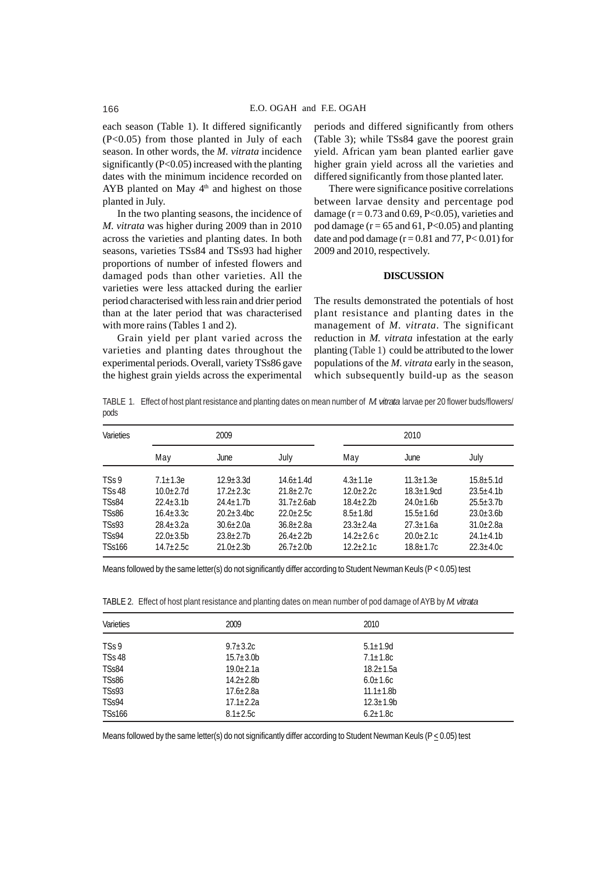each season (Table 1). It differed significantly (P<0.05) from those planted in July of each season. In other words, the *M. vitrata* incidence significantly (P<0.05) increased with the planting dates with the minimum incidence recorded on AYB planted on May  $4<sup>th</sup>$  and highest on those planted in July.

In the two planting seasons, the incidence of *M. vitrata* was higher during 2009 than in 2010 across the varieties and planting dates. In both seasons, varieties TSs84 and TSs93 had higher proportions of number of infested flowers and damaged pods than other varieties. All the varieties were less attacked during the earlier period characterised with less rain and drier period than at the later period that was characterised with more rains (Tables 1 and 2).

Grain yield per plant varied across the varieties and planting dates throughout the experimental periods. Overall, variety TSs86 gave the highest grain yields across the experimental

periods and differed significantly from others (Table 3); while TSs84 gave the poorest grain yield. African yam bean planted earlier gave higher grain yield across all the varieties and differed significantly from those planted later.

There were significance positive correlations between larvae density and percentage pod damage ( $r = 0.73$  and 0.69, P<0.05), varieties and pod damage ( $r = 65$  and  $61$ ,  $P < 0.05$ ) and planting date and pod damage  $(r = 0.81$  and  $77$ ,  $P < 0.01$ ) for 2009 and 2010, respectively.

## **DISCUSSION**

The results demonstrated the potentials of host plant resistance and planting dates in the management of *M. vitrata*. The significant reduction in *M. vitrata* infestation at the early planting (Table 1) could be attributed to the lower populations of the *M. vitrata* early in the season, which subsequently build-up as the season

TABLE 1. Effect of host plant resistance and planting dates on mean number of *M. vitrata* larvae per 20 flower buds/flowers/ pods

| <b>Varieties</b>   | 2009          |                            |                 | 2010          |                |                 |
|--------------------|---------------|----------------------------|-----------------|---------------|----------------|-----------------|
|                    | May           | June                       | July            | May           | June           | July            |
| TSS9               | $7.1 + 1.3e$  | $12.9 + 3.3d$              | $14.6 + 1.4d$   | $4.3 + 1.1e$  | $11.3 + 1.3e$  | $15.8 + 5.1d$   |
| <b>TSs 48</b>      | $10.0 + 2.7d$ | $17.2 + 2.3c$              | $21.8 + 2.7c$   | $12.0 + 2.2c$ | $18.3 + 1.9cd$ | $23.5 + 4.1b$   |
| TS <sub>s</sub> 84 | $22.4 + 3.1b$ | $24.4 + 1.7b$              | $31.7 + 2.6$ ab | $18.4 + 2.2b$ | $24.0 + 1.6$   | $25.5 + 3.7b$   |
| TS <sub>s</sub> 86 | $16.4 + 3.3c$ | $20.2 + 3.4$ <sub>bc</sub> | $22.0 + 2.5c$   | $8.5 + 1.8d$  | $15.5 + 1.6d$  | $23.0 + 3.6b$   |
| TS <sub>s93</sub>  | $28.4 + 3.2a$ | $30.6 + 2.0a$              | $36.8 + 2.8a$   | $23.3 + 2.4a$ | $27.3 + 1.6a$  | $31.0 + 2.8a$   |
| TS <sub>s94</sub>  | $22.0 + 3.5b$ | $23.8 + 2.7b$              | $26.4 + 2.2b$   | $14.2 + 2.6c$ | $20.0 + 2.1c$  | $24.1 + 4.1b$   |
| <b>TSs166</b>      | $14.7 + 2.5c$ | $21.0 + 2.3b$              | $26.7 + 2.0b$   | $12.2 + 2.1c$ | $18.8 + 1.7c$  | $22.3 \pm 4.0c$ |

Means followed by the same letter(s) do not significantly differ according to Student Newman Keuls (P < 0.05) test

TABLE 2. Effect of host plant resistance and planting dates on mean number of pod damage of AYB by *M. vitrata*

| Varieties          | 2009             | 2010             |  |
|--------------------|------------------|------------------|--|
| TS <sub>s</sub> 9  | $9.7 \pm 3.2c$   | $5.1 \pm 1.9$ d  |  |
| <b>TSs 48</b>      | $15.7 \pm 3.0$ b | $7.1 \pm 1.8$ C  |  |
| TS <sub>s</sub> 84 | $19.0 \pm 2.1a$  | $18.2 \pm 1.5a$  |  |
| TSs86              | $14.2 \pm 2.8$ b | $6.0 \pm 1.6$ C  |  |
| TSs93              | $17.6 \pm 2.8a$  | $11.1 \pm 1.8$ b |  |
| TSs94              | $17.1 \pm 2.2a$  | $12.3 \pm 1.9$ b |  |
| <b>TSs166</b>      | $8.1 \pm 2.5$ C  | $6.2 \pm 1.8$ C  |  |

Means followed by the same letter(s) do not significantly differ according to Student Newman Keuls (P < 0.05) test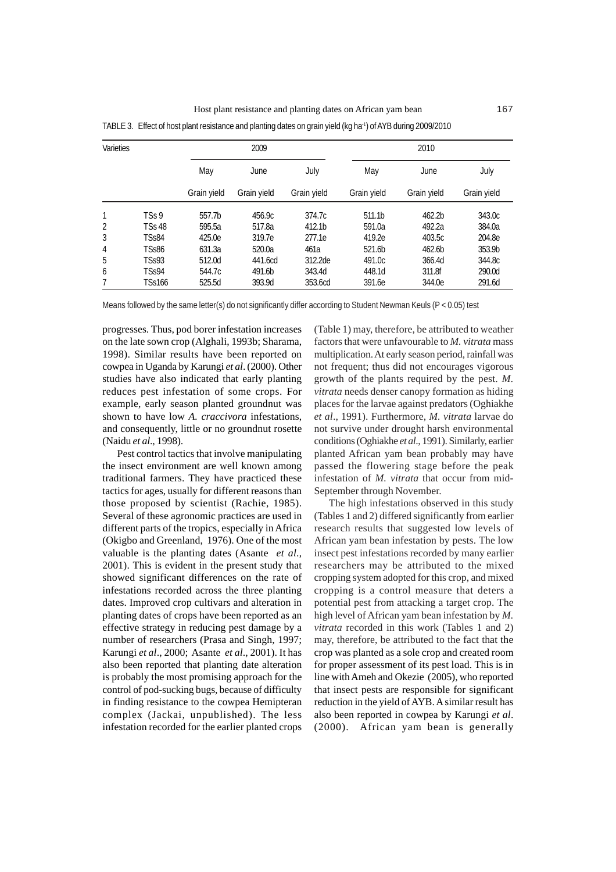| Varieties |                    | 2009        |             |             | 2010        |                    |             |
|-----------|--------------------|-------------|-------------|-------------|-------------|--------------------|-------------|
|           |                    | May         | June        | July        | May         | June               | July        |
|           |                    | Grain yield | Grain yield | Grain yield | Grain yield | Grain yield        | Grain yield |
| 1         | TSs 9              | 557.7b      | 456.9c      | 374.7c      | 511.1b      | 462.2 <sub>b</sub> | 343.0c      |
| 2         | <b>TSs 48</b>      | 595.5a      | 517.8a      | 412.1b      | 591.0a      | 492.2a             | 384.0a      |
| 3         | <b>TSs84</b>       | 425.0e      | 319.7e      | 277.1e      | 419.2e      | 403.5c             | 204.8e      |
| 4         | TS <sub>S</sub> 86 | 631.3a      | 520.0a      | 461a        | 521.6b      | 462.6 <sub>b</sub> | 353.9b      |
| 5         | <b>TSs93</b>       | 512.0d      | 441.6cd     | 312.2de     | 491.0c      | 366.4d             | 344.8c      |
| 6         | <b>TSs94</b>       | 544.7c      | 491.6b      | 343.4d      | 448.1d      | 311.8f             | 290.0d      |
| 7         | <b>TSs166</b>      | 525.5d      | 393.9d      | 353.6cd     | 391.6e      | 344.0e             | 291.6d      |

TABLE 3. Effect of host plant resistance and planting dates on grain yield (kg ha-1) of AYB during 2009/2010

Means followed by the same letter(s) do not significantly differ according to Student Newman Keuls (P < 0.05) test

progresses. Thus, pod borer infestation increases on the late sown crop (Alghali, 1993b; Sharama, 1998). Similar results have been reported on cowpea in Uganda by Karungi *et al*. (2000). Other studies have also indicated that early planting reduces pest infestation of some crops. For example, early season planted groundnut was shown to have low *A. craccivora* infestations, and consequently, little or no groundnut rosette (Naidu *et al*., 1998).

Pest control tactics that involve manipulating the insect environment are well known among traditional farmers. They have practiced these tactics for ages, usually for different reasons than those proposed by scientist (Rachie, 1985). Several of these agronomic practices are used in different parts of the tropics, especially in Africa (Okigbo and Greenland, 1976). One of the most valuable is the planting dates (Asante *et al*., 2001). This is evident in the present study that showed significant differences on the rate of infestations recorded across the three planting dates. Improved crop cultivars and alteration in planting dates of crops have been reported as an effective strategy in reducing pest damage by a number of researchers (Prasa and Singh, 1997; Karungi *et al*., 2000; Asante *et al*., 2001). It has also been reported that planting date alteration is probably the most promising approach for the control of pod-sucking bugs, because of difficulty in finding resistance to the cowpea Hemipteran complex (Jackai, unpublished). The less infestation recorded for the earlier planted crops

(Table 1) may, therefore, be attributed to weather factors that were unfavourable to *M. vitrata* mass multiplication. At early season period, rainfall was not frequent; thus did not encourages vigorous growth of the plants required by the pest. *M. vitrata* needs denser canopy formation as hiding places for the larvae against predators (Oghiakhe *et al*., 1991). Furthermore, *M. vitrata* larvae do not survive under drought harsh environmental conditions (Oghiakhe *et al*., 1991). Similarly, earlier planted African yam bean probably may have passed the flowering stage before the peak infestation of *M. vitrata* that occur from mid-September through November.

The high infestations observed in this study (Tables 1 and 2) differed significantly from earlier research results that suggested low levels of African yam bean infestation by pests. The low insect pest infestations recorded by many earlier researchers may be attributed to the mixed cropping system adopted for this crop, and mixed cropping is a control measure that deters a potential pest from attacking a target crop. The high level of African yam bean infestation by *M. vitrata* recorded in this work (Tables 1 and 2) may, therefore, be attributed to the fact that the crop was planted as a sole crop and created room for proper assessment of its pest load. This is in line with Ameh and Okezie (2005), who reported that insect pests are responsible for significant reduction in the yield of AYB. A similar result has also been reported in cowpea by Karungi *et al*. (2000). African yam bean is generally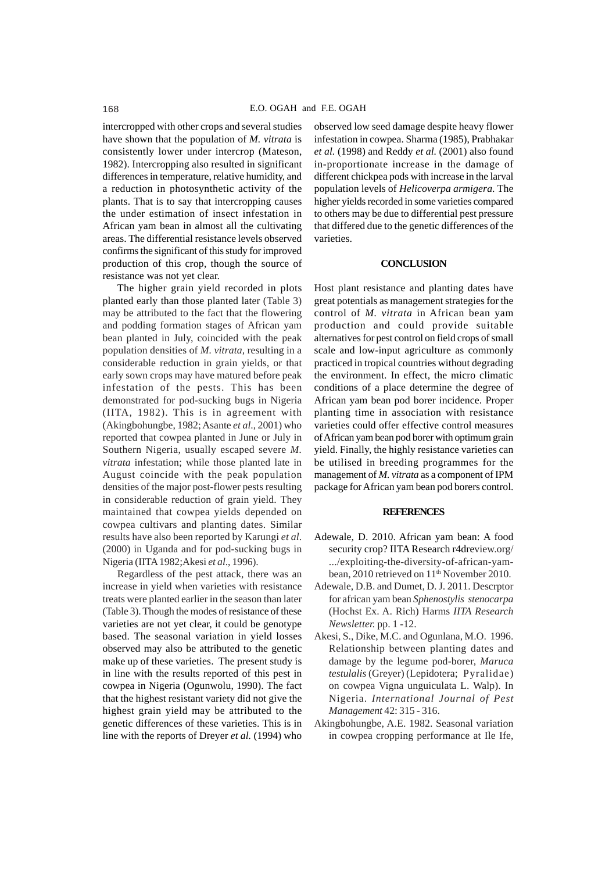intercropped with other crops and several studies have shown that the population of *M. vitrata* is consistently lower under intercrop (Mateson, 1982). Intercropping also resulted in significant differences in temperature, relative humidity, and a reduction in photosynthetic activity of the plants. That is to say that intercropping causes the under estimation of insect infestation in African yam bean in almost all the cultivating areas. The differential resistance levels observed confirms the significant of this study for improved production of this crop, though the source of resistance was not yet clear.

The higher grain yield recorded in plots planted early than those planted later (Table 3) may be attributed to the fact that the flowering and podding formation stages of African yam bean planted in July, coincided with the peak population densities of *M. vitrata,* resulting in a considerable reduction in grain yields, or that early sown crops may have matured before peak infestation of the pests. This has been demonstrated for pod-sucking bugs in Nigeria (IITA, 1982). This is in agreement with (Akingbohungbe, 1982; Asante *et al*., 2001) who reported that cowpea planted in June or July in Southern Nigeria, usually escaped severe *M. vitrata* infestation; while those planted late in August coincide with the peak population densities of the major post-flower pests resulting in considerable reduction of grain yield. They maintained that cowpea yields depended on cowpea cultivars and planting dates. Similar results have also been reported by Karungi *et al*. (2000) in Uganda and for pod-sucking bugs in Nigeria (IITA 1982;Akesi *et al*., 1996).

Regardless of the pest attack, there was an increase in yield when varieties with resistance treats were planted earlier in the season than later (Table 3). Though the modes of resistance of these varieties are not yet clear, it could be genotype based. The seasonal variation in yield losses observed may also be attributed to the genetic make up of these varieties. The present study is in line with the results reported of this pest in cowpea in Nigeria (Ogunwolu, 1990). The fact that the highest resistant variety did not give the highest grain yield may be attributed to the genetic differences of these varieties. This is in line with the reports of Dreyer *et al.* (1994) who

observed low seed damage despite heavy flower infestation in cowpea. Sharma (1985), Prabhakar *et al.* (1998) and Reddy *et al.* (2001) also found in-proportionate increase in the damage of different chickpea pods with increase in the larval population levels of *Helicoverpa armigera*. The higher yields recorded in some varieties compared to others may be due to differential pest pressure that differed due to the genetic differences of the varieties.

#### **CONCLUSION**

Host plant resistance and planting dates have great potentials as management strategies for the control of *M. vitrata* in African bean yam production and could provide suitable alternatives for pest control on field crops of small scale and low-input agriculture as commonly practiced in tropical countries without degrading the environment. In effect, the micro climatic conditions of a place determine the degree of African yam bean pod borer incidence. Proper planting time in association with resistance varieties could offer effective control measures of African yam bean pod borer with optimum grain yield. Finally, the highly resistance varieties can be utilised in breeding programmes for the management of *M. vitrata* as a component of IPM package for African yam bean pod borers control.

#### **REFERENCES**

- Adewale, D. 2010. African yam bean: A food security crop? IITA Research r4dreview.org/ .../exploiting-the-diversity-of-african-yambean, 2010 retrieved on 11<sup>th</sup> November 2010.
- Adewale, D.B. and Dumet, D. J. 2011. Descrptor for african yam bean *Sphenostylis stenocarpa* (Hochst Ex. A. Rich) Harms *IITA Research Newsletter.* pp. 1 -12.
- Akesi, S., Dike, M.C. and Ogunlana, M.O. 1996. Relationship between planting dates and damage by the legume pod-borer, *Maruca testulalis* (Greyer) (Lepidotera; Pyralidae) on cowpea Vigna unguiculata L. Walp). In Nigeria. *International Journal of Pest Management* 42: 315 - 316.
- Akingbohungbe, A.E. 1982. Seasonal variation in cowpea cropping performance at Ile Ife,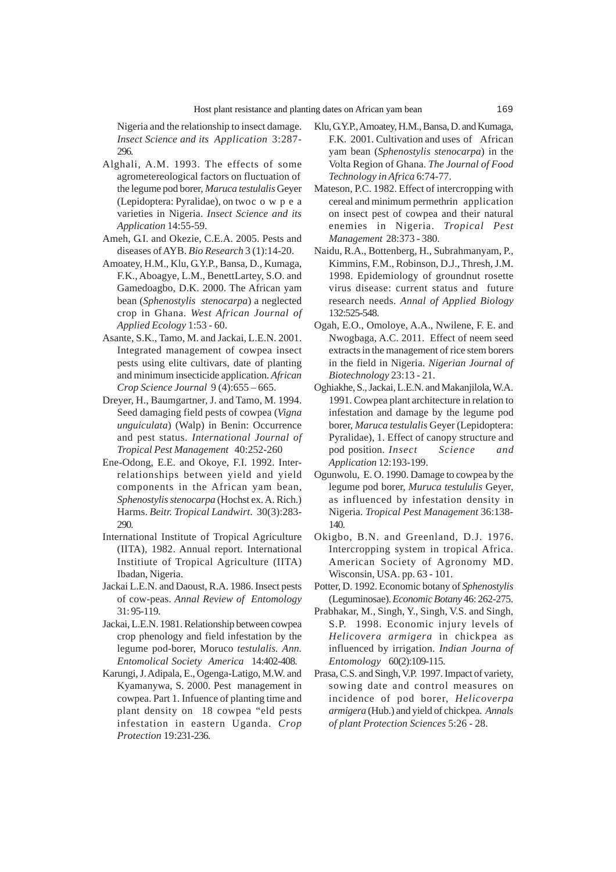Nigeria and the relationship to insect damage. *Insect Science and its Application* 3:287- 296.

- Alghali, A.M. 1993. The effects of some agrometereological factors on fluctuation of the legume pod borer, *Maruca testulalis* Geyer (Lepidoptera: Pyralidae), on twocowpea varieties in Nigeria. *Insect Science and its Application* 14:55-59.
- Ameh, G.I. and Okezie, C.E.A. 2005. Pests and diseases of AYB. *Bio Research* 3 (1):14-20.
- Amoatey, H.M., Klu, G.Y.P., Bansa, D., Kumaga, F.K., Aboagye, L.M., BenettLartey, S.O. and Gamedoagbo, D.K. 2000. The African yam bean (*Sphenostylis stenocarpa*) a neglected crop in Ghana. *West African Journal of Applied Ecology* 1:53 - 60.
- Asante, S.K., Tamo, M. and Jackai, L.E.N. 2001. Integrated management of cowpea insect pests using elite cultivars, date of planting and minimum insecticide application. *African Crop Science Journal* 9 (4):655 – 665.
- Dreyer, H., Baumgartner, J. and Tamo, M. 1994. Seed damaging field pests of cowpea (*Vigna unguiculata*) (Walp) in Benin: Occurrence and pest status. *International Journal of Tropical Pest Management* 40:252-260
- Ene-Odong, E.E. and Okoye, F.I. 1992. Interrelationships between yield and yield components in the African yam bean, *Sphenostylis stenocarpa* (Hochst ex. A. Rich.) Harms. *Beitr. Tropical Landwirt*. 30(3):283- 290.
- International Institute of Tropical Agriculture (IITA), 1982. Annual report. International Institiute of Tropical Agriculture (IITA) Ibadan, Nigeria.
- Jackai L.E.N. and Daoust, R.A. 1986. Insect pests of cow-peas. *Annal Review of Entomology* 31: 95-119.
- Jackai, L.E.N. 1981. Relationship between cowpea crop phenology and field infestation by the legume pod-borer, Moruco *testulalis. Ann. Entomolical Society America* 14:402-408.
- Karungi, J. Adipala, E., Ogenga-Latigo, M.W. and Kyamanywa, S. 2000. Pest management in cowpea. Part 1. Infuence of planting time and plant density on 18 cowpea "eld pests infestation in eastern Uganda. *Crop Protection* 19:231-236.
- Klu, G.Y.P., Amoatey, H.M., Bansa, D. and Kumaga, F.K. 2001. Cultivation and uses of African yam bean (*Sphenostylis stenocarpa*) in the Volta Region of Ghana. *The Journal of Food Technology in Africa* 6:74-77.
- Mateson, P.C. 1982. Effect of intercropping with cereal and minimum permethrin application on insect pest of cowpea and their natural enemies in Nigeria. *Tropical Pest Management* 28:373 - 380.
- Naidu, R.A., Bottenberg, H., Subrahmanyam, P., Kimmins, F.M., Robinson, D.J., Thresh, J.M. 1998. Epidemiology of groundnut rosette virus disease: current status and future research needs. *Annal of Applied Biology* 132:525-548.
- Ogah, E.O., Omoloye, A.A., Nwilene, F. E. and Nwogbaga, A.C. 2011. Effect of neem seed extracts in the management of rice stem borers in the field in Nigeria. *Nigerian Journal of Biotechnology* 23:13 - 21.
- Oghiakhe, S., Jackai, L.E.N. and Makanjilola, W.A. 1991. Cowpea plant architecture in relation to infestation and damage by the legume pod borer, *Maruca testulalis* Geyer (Lepidoptera: Pyralidae), 1. Effect of canopy structure and pod position. *Insect Science and Application* 12:193-199.
- Ogunwolu, E. O. 1990. Damage to cowpea by the legume pod borer, *Muruca testululis* Geyer, as influenced by infestation density in Nigeria. *Tropical Pest Management* 36:138- 140.
- Okigbo, B.N. and Greenland, D.J. 1976. Intercropping system in tropical Africa. American Society of Agronomy MD. Wisconsin, USA. pp. 63 - 101.
- Potter, D. 1992. Economic botany of *Sphenostylis* (Leguminosae). *Economic Botany* 46: 262-275.
- Prabhakar, M., Singh, Y., Singh, V.S. and Singh, S.P. 1998. Economic injury levels of *Helicovera armigera* in chickpea as influenced by irrigation. *Indian Journa of Entomology* 60(2):109-115.
- Prasa, C.S. and Singh, V.P. 1997. Impact of variety, sowing date and control measures on incidence of pod borer, *Helicoverpa armigera* (Hub.) and yield of chickpea. *Annals of plant Protection Sciences* 5:26 - 28.